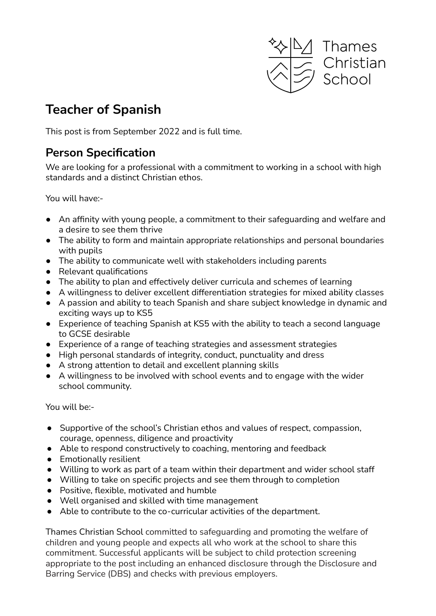

# **Teacher of Spanish**

This post is from September 2022 and is full time.

#### **Person Specification**

We are looking for a professional with a commitment to working in a school with high standards and a distinct Christian ethos.

You will have:-

- An affinity with young people, a commitment to their safeguarding and welfare and a desire to see them thrive
- The ability to form and maintain appropriate relationships and personal boundaries with pupils
- The ability to communicate well with stakeholders including parents
- Relevant qualifications
- The ability to plan and effectively deliver curricula and schemes of learning
- A willingness to deliver excellent differentiation strategies for mixed ability classes
- A passion and ability to teach Spanish and share subject knowledge in dynamic and exciting ways up to KS5
- Experience of teaching Spanish at KS5 with the ability to teach a second language to GCSE desirable
- Experience of a range of teaching strategies and assessment strategies
- High personal standards of integrity, conduct, punctuality and dress
- A strong attention to detail and excellent planning skills
- A willingness to be involved with school events and to engage with the wider school community.

You will be:-

- Supportive of the school's Christian ethos and values of respect, compassion, courage, openness, diligence and proactivity
- Able to respond constructively to coaching, mentoring and feedback
- Emotionally resilient
- Willing to work as part of a team within their department and wider school staff
- Willing to take on specific projects and see them through to completion
- Positive, flexible, motivated and humble
- Well organised and skilled with time management
- Able to contribute to the co-curricular activities of the department.

Thames Christian School committed to safeguarding and promoting the welfare of children and young people and expects all who work at the school to share this commitment. Successful applicants will be subject to child protection screening appropriate to the post including an enhanced disclosure through the Disclosure and Barring Service (DBS) and checks with previous employers.